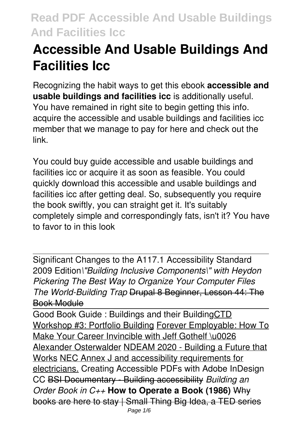# **Accessible And Usable Buildings And Facilities Icc**

Recognizing the habit ways to get this ebook **accessible and usable buildings and facilities icc** is additionally useful. You have remained in right site to begin getting this info. acquire the accessible and usable buildings and facilities icc member that we manage to pay for here and check out the link.

You could buy guide accessible and usable buildings and facilities icc or acquire it as soon as feasible. You could quickly download this accessible and usable buildings and facilities icc after getting deal. So, subsequently you require the book swiftly, you can straight get it. It's suitably completely simple and correspondingly fats, isn't it? You have to favor to in this look

Significant Changes to the A117.1 Accessibility Standard 2009 Edition*\"Building Inclusive Components\" with Heydon Pickering The Best Way to Organize Your Computer Files The World-Building Trap* Drupal 8 Beginner, Lesson 44: The Book Module

Good Book Guide : Buildings and their BuildingCTD Workshop #3: Portfolio Building Forever Employable: How To Make Your Career Invincible with Jeff Gothelf \u0026 Alexander Osterwalder NDEAM 2020 - Building a Future that Works NEC Annex J and accessibility requirements for electricians. Creating Accessible PDFs with Adobe InDesign CC BSI Documentary - Building accessibility *Building an Order Book in C++* **How to Operate a Book (1986)** Why books are here to stay | Small Thing Big Idea, a TED series Page 1/6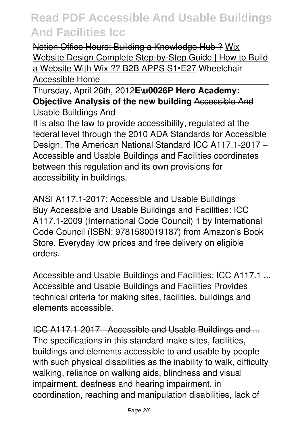Notion Office Hours: Building a Knowledge Hub ? Wix Website Design Complete Step-by-Step Guide | How to Build a Website With Wix ?? B2B APPS S1•E27 Wheelchair Accessible Home

Thursday, April 26th, 2012**E\u0026P Hero Academy: Objective Analysis of the new building Accessible And** Usable Buildings And

It is also the law to provide accessibility, regulated at the federal level through the 2010 ADA Standards for Accessible Design. The American National Standard ICC A117.1-2017 – Accessible and Usable Buildings and Facilities coordinates between this regulation and its own provisions for accessibility in buildings.

ANSI A117.1-2017: Accessible and Usable Buildings Buy Accessible and Usable Buildings and Facilities: ICC A117.1-2009 (International Code Council) 1 by International Code Council (ISBN: 9781580019187) from Amazon's Book Store. Everyday low prices and free delivery on eligible orders.

Accessible and Usable Buildings and Facilities: ICC A117.1 ... Accessible and Usable Buildings and Facilities Provides technical criteria for making sites, facilities, buildings and elements accessible.

ICC A117.1-2017 - Accessible and Usable Buildings and ... The specifications in this standard make sites, facilities, buildings and elements accessible to and usable by people with such physical disabilities as the inability to walk, difficulty walking, reliance on walking aids, blindness and visual impairment, deafness and hearing impairment, in coordination, reaching and manipulation disabilities, lack of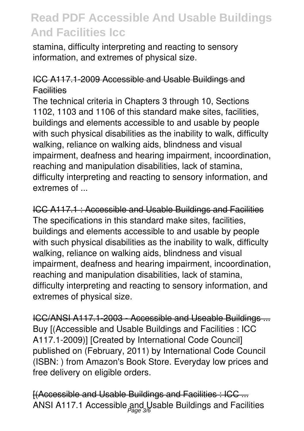stamina, difficulty interpreting and reacting to sensory information, and extremes of physical size.

### ICC A117.1-2009 Accessible and Usable Buildings and **Facilities**

The technical criteria in Chapters 3 through 10, Sections 1102, 1103 and 1106 of this standard make sites, facilities, buildings and elements accessible to and usable by people with such physical disabilities as the inability to walk, difficulty walking, reliance on walking aids, blindness and visual impairment, deafness and hearing impairment, incoordination, reaching and manipulation disabilities, lack of stamina, difficulty interpreting and reacting to sensory information, and extremes of ...

ICC A117.1 : Accessible and Usable Buildings and Facilities The specifications in this standard make sites, facilities, buildings and elements accessible to and usable by people with such physical disabilities as the inability to walk, difficulty walking, reliance on walking aids, blindness and visual impairment, deafness and hearing impairment, incoordination, reaching and manipulation disabilities, lack of stamina, difficulty interpreting and reacting to sensory information, and extremes of physical size.

ICC/ANSI A117.1-2003 - Accessible and Useable Buildings ... Buy [(Accessible and Usable Buildings and Facilities : ICC A117.1-2009)] [Created by International Code Council] published on (February, 2011) by International Code Council (ISBN: ) from Amazon's Book Store. Everyday low prices and free delivery on eligible orders.

[(Accessible and Usable Buildings and Facilities : ICC ... ANSI A117.1 Accessible and Usable Buildings and Facilities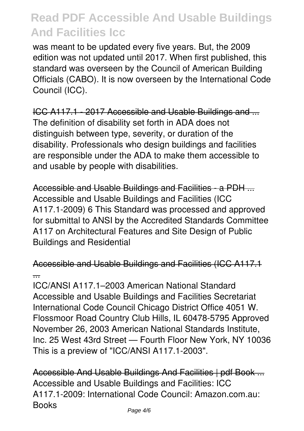was meant to be updated every five years. But, the 2009 edition was not updated until 2017. When first published, this standard was overseen by the Council of American Building Officials (CABO). It is now overseen by the International Code Council (ICC).

ICC A117.1 - 2017 Accessible and Usable Buildings and ... The definition of disability set forth in ADA does not distinguish between type, severity, or duration of the disability. Professionals who design buildings and facilities are responsible under the ADA to make them accessible to and usable by people with disabilities.

Accessible and Usable Buildings and Facilities - a PDH ... Accessible and Usable Buildings and Facilities (ICC A117.1-2009) 6 This Standard was processed and approved for submittal to ANSI by the Accredited Standards Committee A117 on Architectural Features and Site Design of Public Buildings and Residential

Accessible and Usable Buildings and Facilities (ICC A117.1 ...

ICC/ANSI A117.1–2003 American National Standard Accessible and Usable Buildings and Facilities Secretariat International Code Council Chicago District Office 4051 W. Flossmoor Road Country Club Hills, IL 60478-5795 Approved November 26, 2003 American National Standards Institute, Inc. 25 West 43rd Street — Fourth Floor New York, NY 10036 This is a preview of "ICC/ANSI A117.1-2003".

Accessible And Usable Buildings And Facilities | pdf Book ... Accessible and Usable Buildings and Facilities: ICC A117.1-2009: International Code Council: Amazon.com.au: Books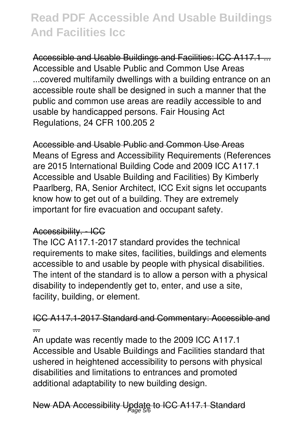Accessible and Usable Buildings and Facilities: ICC A117.1 ... Accessible and Usable Public and Common Use Areas ...covered multifamily dwellings with a building entrance on an accessible route shall be designed in such a manner that the public and common use areas are readily accessible to and usable by handicapped persons. Fair Housing Act Regulations, 24 CFR 100.205 2

Accessible and Usable Public and Common Use Areas Means of Egress and Accessibility Requirements (References are 2015 International Building Code and 2009 ICC A117.1 Accessible and Usable Building and Facilities) By Kimberly Paarlberg, RA, Senior Architect, ICC Exit signs let occupants know how to get out of a building. They are extremely important for fire evacuation and occupant safety.

### Accessibility. - ICC

The ICC A117.1-2017 standard provides the technical requirements to make sites, facilities, buildings and elements accessible to and usable by people with physical disabilities. The intent of the standard is to allow a person with a physical disability to independently get to, enter, and use a site, facility, building, or element.

### ICC A117.1-2017 Standard and Commentary: Accessible and ...

An update was recently made to the 2009 ICC A117.1 Accessible and Usable Buildings and Facilities standard that ushered in heightened accessibility to persons with physical disabilities and limitations to entrances and promoted additional adaptability to new building design.